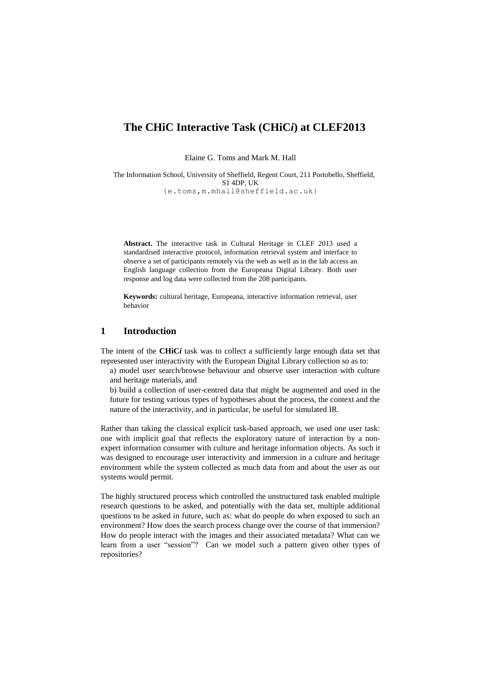# **The CHiC Interactive Task (CHiC***i***) at CLEF2013**

Elaine G. Toms and Mark M. Hall

The Information School, University of Sheffield, Regent Court, 211 Portobello, Sheffield, S1 4DP, UK {e.toms,m.mhall@sheffield.ac.uk}

**Abstract.** The interactive task in Cultural Heritage in CLEF 2013 used a standardised interactive protocol, information retrieval system and interface to observe a set of participants remotely via the web as well as in the lab access an English language collection from the Europeana Digital Library. Both user response and log data were collected from the 208 participants.

**Keywords:** cultural heritage, Europeana, interactive information retrieval, user behavior

# **1 Introduction**

The intent of the **CHiC***i* task was to collect a sufficiently large enough data set that represented user interactivity with the European Digital Library collection so as to:

- a) model user search/browse behaviour and observe user interaction with culture and heritage materials, and
- b) build a collection of user-centred data that might be augmented and used in the future for testing various types of hypotheses about the process, the context and the nature of the interactivity, and in particular, be useful for simulated IR.

Rather than taking the classical explicit task-based approach, we used one user task: one with implicit goal that reflects the exploratory nature of interaction by a nonexpert information consumer with culture and heritage information objects. As such it was designed to encourage user interactivity and immersion in a culture and heritage environment while the system collected as much data from and about the user as our systems would permit.

The highly structured process which controlled the unstructured task enabled multiple research questions to be asked, and potentially with the data set, multiple additional questions to be asked in future, such as: what do people do when exposed to such an environment? How does the search process change over the course of that immersion? How do people interact with the images and their associated metadata? What can we learn from a user "session"? Can we model such a pattern given other types of repositories?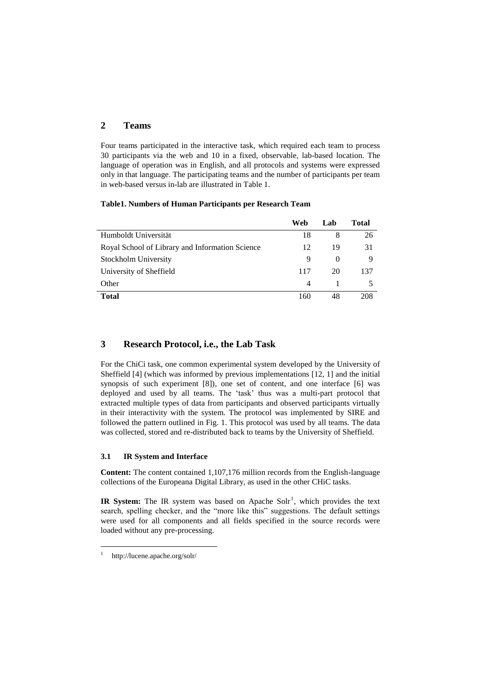# **2 Teams**

Four teams participated in the interactive task, which required each team to process 30 participants via the web and 10 in a fixed, observable, lab-based location. The language of operation was in English, and all protocols and systems were expressed only in that language. The participating teams and the number of participants per team in web-based versus in-lab are illustrated in Table 1.

#### **Table1. Numbers of Human Participants per Research Team**

|                                                 | Web            | Lab      | Total |
|-------------------------------------------------|----------------|----------|-------|
| Humboldt Universität                            | 18             | 8        | 26    |
| Royal School of Library and Information Science | 12             | 19       | 31    |
| Stockholm University                            | 9              | $\theta$ | 9     |
| University of Sheffield                         | 117            | 20       | 137   |
| Other                                           | $\overline{4}$ |          |       |
| <b>Total</b>                                    | 160            | 48       | 208   |

## **3 Research Protocol, i.e., the Lab Task**

For the ChiCi task, one common experimental system developed by the University of Sheffield [4] (which was informed by previous implementations [12, 1] and the initial synopsis of such experiment [8]), one set of content, and one interface [6] was deployed and used by all teams. The 'task' thus was a multi-part protocol that extracted multiple types of data from participants and observed participants virtually in their interactivity with the system. The protocol was implemented by SIRE and followed the pattern outlined in Fig. 1. This protocol was used by all teams. The data was collected, stored and re-distributed back to teams by the University of Sheffield.

#### **3.1 IR System and Interface**

**Content:** The content contained 1,107,176 million records from the English-language collections of the Europeana Digital Library, as used in the other CHiC tasks.

IR System: The IR system was based on Apache Sol $r<sup>1</sup>$ , which provides the text search, spelling checker, and the "more like this" suggestions. The default settings were used for all components and all fields specified in the source records were loaded without any pre-processing.

 $\overline{a}$ 1

http://lucene.apache.org/solr/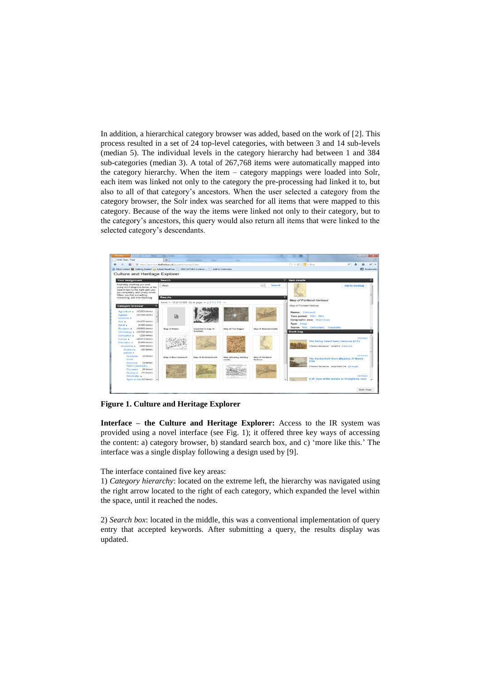In addition, a hierarchical category browser was added, based on the work of [2]. This process resulted in a set of 24 top-level categories, with between 3 and 14 sub-levels (median 5). The individual levels in the category hierarchy had between 1 and 384 sub-categories (median 3). A total of 267,768 items were automatically mapped into the category hierarchy. When the item – category mappings were loaded into Solr, each item was linked not only to the category the pre-processing had linked it to, but also to all of that category's ancestors. When the user selected a category from the category browser, the Solr index was searched for all items that were mapped to this category. Because of the way the items were linked not only to their category, but to the category's ancestors, this query would also return all items that were linked to the selected category's descendants.



**Figure 1. Culture and Heritage Explorer**

**Interface – the Culture and Heritage Explorer:** Access to the IR system was provided using a novel interface (see Fig. 1); it offered three key ways of accessing the content: a) category browser, b) standard search box, and c) 'more like this.' The interface was a single display following a design used by [9].

The interface contained five key areas:

1) *Category hierarchy*: located on the extreme left, the hierarchy was navigated using the right arrow located to the right of each category, which expanded the level within the space, until it reached the nodes.

2) *Search box*: located in the middle, this was a conventional implementation of query entry that accepted keywords. After submitting a query, the results display was updated.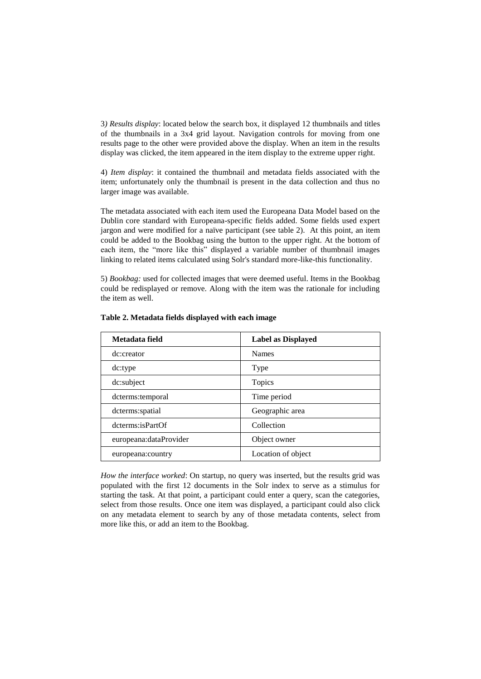3*) Results display*: located below the search box, it displayed 12 thumbnails and titles of the thumbnails in a 3x4 grid layout. Navigation controls for moving from one results page to the other were provided above the display. When an item in the results display was clicked, the item appeared in the item display to the extreme upper right.

4) *Item display*: it contained the thumbnail and metadata fields associated with the item; unfortunately only the thumbnail is present in the data collection and thus no larger image was available.

The metadata associated with each item used the Europeana Data Model based on the Dublin core standard with Europeana-specific fields added. Some fields used expert jargon and were modified for a naïve participant (see table 2). At this point, an item could be added to the Bookbag using the button to the upper right. At the bottom of each item, the "more like this" displayed a variable number of thumbnail images linking to related items calculated using Solr's standard more-like-this functionality.

5) *Bookbag:* used for collected images that were deemed useful. Items in the Bookbag could be redisplayed or remove. Along with the item was the rationale for including the item as well.

| Metadata field          | <b>Label as Displayed</b> |
|-------------------------|---------------------------|
| dc:creator              | <b>Names</b>              |
| dc:type                 | Type                      |
| dc:subject              | Topics                    |
| dcterms: temporal       | Time period               |
| dcterms:spatial         | Geographic area           |
| dcterms:isPartOf        | Collection                |
| europeana: dataProvider | Object owner              |
| europeana:country       | Location of object        |

**Table 2. Metadata fields displayed with each image**

*How the interface worked*: On startup, no query was inserted, but the results grid was populated with the first 12 documents in the Solr index to serve as a stimulus for starting the task. At that point, a participant could enter a query, scan the categories, select from those results. Once one item was displayed, a participant could also click on any metadata element to search by any of those metadata contents, select from more like this, or add an item to the Bookbag.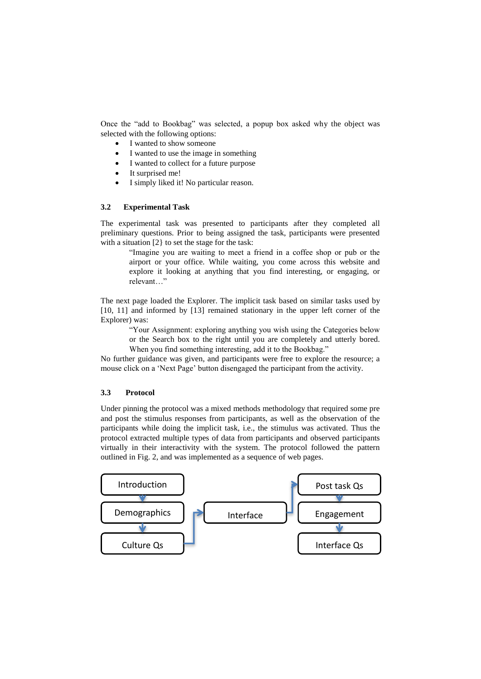Once the "add to Bookbag" was selected, a popup box asked why the object was selected with the following options:

- I wanted to show someone
- I wanted to use the image in something
- I wanted to collect for a future purpose
- It surprised me!
- I simply liked it! No particular reason.

#### **3.2 Experimental Task**

The experimental task was presented to participants after they completed all preliminary questions. Prior to being assigned the task, participants were presented with a situation [2} to set the stage for the task:

> "Imagine you are waiting to meet a friend in a coffee shop or pub or the airport or your office. While waiting, you come across this website and explore it looking at anything that you find interesting, or engaging, or relevant…"

The next page loaded the Explorer. The implicit task based on similar tasks used by [10, 11] and informed by [13] remained stationary in the upper left corner of the Explorer) was:

> "Your Assignment: exploring anything you wish using the Categories below or the Search box to the right until you are completely and utterly bored. When you find something interesting, add it to the Bookbag."

No further guidance was given, and participants were free to explore the resource; a mouse click on a 'Next Page' button disengaged the participant from the activity.

### **3.3 Protocol**

Under pinning the protocol was a mixed methods methodology that required some pre and post the stimulus responses from participants, as well as the observation of the participants while doing the implicit task, i.e., the stimulus was activated. Thus the protocol extracted multiple types of data from participants and observed participants virtually in their interactivity with the system. The protocol followed the pattern outlined in Fig. 2, and was implemented as a sequence of web pages.

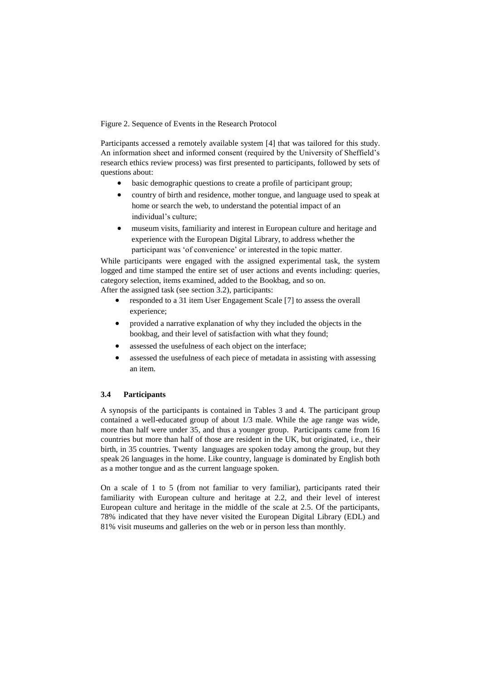Figure 2. Sequence of Events in the Research Protocol

Participants accessed a remotely available system [4] that was tailored for this study. An information sheet and informed consent (required by the University of Sheffield's research ethics review process) was first presented to participants, followed by sets of questions about:

- basic demographic questions to create a profile of participant group;
- country of birth and residence, mother tongue, and language used to speak at home or search the web, to understand the potential impact of an individual's culture;
- museum visits, familiarity and interest in European culture and heritage and experience with the European Digital Library, to address whether the participant was 'of convenience' or interested in the topic matter.

While participants were engaged with the assigned experimental task, the system logged and time stamped the entire set of user actions and events including: queries, category selection, items examined, added to the Bookbag, and so on. After the assigned task (see section 3.2), participants:

- responded to a 31 item User Engagement Scale [7] to assess the overall experience;
- provided a narrative explanation of why they included the objects in the bookbag, and their level of satisfaction with what they found;
- assessed the usefulness of each object on the interface;
- assessed the usefulness of each piece of metadata in assisting with assessing an item.

#### **3.4 Participants**

A synopsis of the participants is contained in Tables 3 and 4. The participant group contained a well-educated group of about 1/3 male. While the age range was wide, more than half were under 35, and thus a younger group. Participants came from 16 countries but more than half of those are resident in the UK, but originated, i.e., their birth, in 35 countries. Twenty languages are spoken today among the group, but they speak 26 languages in the home. Like country, language is dominated by English both as a mother tongue and as the current language spoken.

On a scale of 1 to 5 (from not familiar to very familiar), participants rated their familiarity with European culture and heritage at 2.2, and their level of interest European culture and heritage in the middle of the scale at 2.5. Of the participants, 78% indicated that they have never visited the European Digital Library (EDL) and 81% visit museums and galleries on the web or in person less than monthly.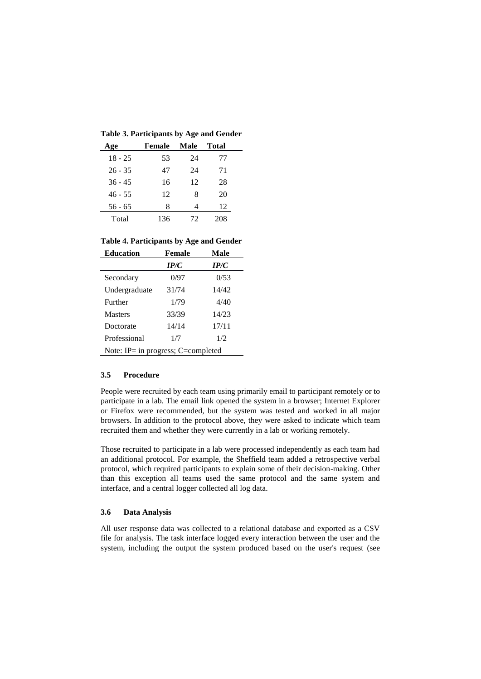**Table 3. Participants by Age and Gender**

| Age       | Female | Male | <b>Total</b> |
|-----------|--------|------|--------------|
| $18 - 25$ | 53     | 24   | 77           |
| $26 - 35$ | 47     | 24   | 71           |
| $36 - 45$ | 16     | 12   | 28           |
| $46 - 55$ | 12     | 8    | 20           |
| $56 - 65$ | 8      | 4    | 12           |
| Total     | 136    | 72   | 208          |

**Table 4. Participants by Age and Gender**

| <b>Education</b>                          | Female | Male  |  |  |  |  |
|-------------------------------------------|--------|-------|--|--|--|--|
|                                           | IP/C   | IP/C  |  |  |  |  |
| Secondary                                 | 0/97   | 0/53  |  |  |  |  |
| Undergraduate                             | 31/74  | 14/42 |  |  |  |  |
| Further                                   | 1/79   | 4/40  |  |  |  |  |
| <b>Masters</b>                            | 33/39  | 14/23 |  |  |  |  |
| Doctorate                                 | 14/14  | 17/11 |  |  |  |  |
| Professional                              | 1/7    | 1/2   |  |  |  |  |
| Note: IP $=$ in progress; C $=$ completed |        |       |  |  |  |  |

#### **3.5 Procedure**

People were recruited by each team using primarily email to participant remotely or to participate in a lab. The email link opened the system in a browser; Internet Explorer or Firefox were recommended, but the system was tested and worked in all major browsers. In addition to the protocol above, they were asked to indicate which team recruited them and whether they were currently in a lab or working remotely.

Those recruited to participate in a lab were processed independently as each team had an additional protocol. For example, the Sheffield team added a retrospective verbal protocol, which required participants to explain some of their decision-making. Other than this exception all teams used the same protocol and the same system and interface, and a central logger collected all log data.

#### **3.6 Data Analysis**

All user response data was collected to a relational database and exported as a CSV file for analysis. The task interface logged every interaction between the user and the system, including the output the system produced based on the user's request (see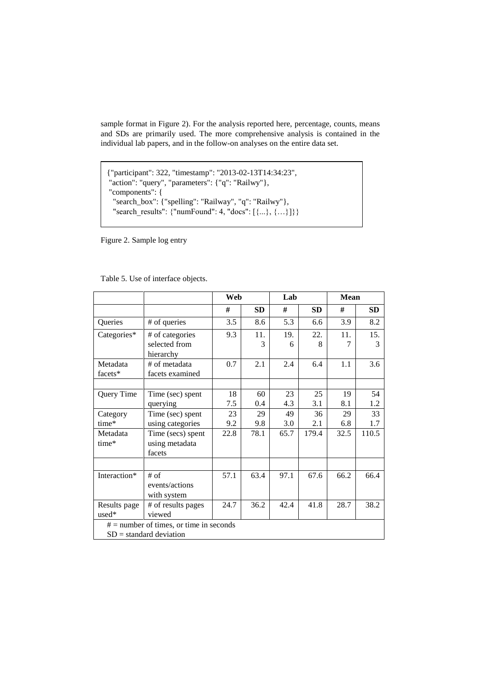sample format in Figure 2). For the analysis reported here, percentage, counts, means and SDs are primarily used. The more comprehensive analysis is contained in the individual lab papers, and in the follow-on analyses on the entire data set.

```
{"participant": 322, "timestamp": "2013-02-13T14:34:23",
"action": "query", "parameters": {"q": "Railwy"},
"components": {
  "search_box": {"spelling": "Railway", "q": "Railwy"},
  "search_results": {"numFound": 4, "docs": [{...}, {…}]}}
```
Figure 2. Sample log entry

|  | Table 5. Use of interface objects. |  |
|--|------------------------------------|--|
|  |                                    |  |

|              |                                           | Web  |           | Lab  |           | <b>Mean</b> |               |
|--------------|-------------------------------------------|------|-----------|------|-----------|-------------|---------------|
|              |                                           | #    | <b>SD</b> | #    | <b>SD</b> | #           | SD            |
| Queries      | # of queries                              | 3.5  | 8.6       | 5.3  | 6.6       | 3.9         | 8.2           |
| Categories*  | # of categories                           | 9.3  | 11.       | 19.  | 22.       | 11.         | 15.           |
|              | selected from                             |      | 3         | 6    | 8         | 7           | $\mathcal{F}$ |
|              | hierarchy                                 |      |           |      |           |             |               |
| Metadata     | # of metadata                             | 0.7  | 2.1       | 2.4  | 6.4       | 1.1         | 3.6           |
| facets*      | facets examined                           |      |           |      |           |             |               |
|              |                                           |      |           |      |           |             |               |
| Query Time   | Time (sec) spent                          | 18   | 60        | 23   | 25        | 19          | 54            |
|              | querying                                  | 7.5  | 0.4       | 4.3  | 3.1       | 8.1         | 1.2           |
| Category     | Time (sec) spent                          | 23   | 29        | 49   | 36        | 29          | 33            |
| time*        | using categories                          | 9.2  | 9.8       | 3.0  | 2.1       | 6.8         | 1.7           |
| Metadata     | Time (secs) spent                         | 22.8 | 78.1      | 65.7 | 179.4     | 32.5        | 110.5         |
| time*        | using metadata                            |      |           |      |           |             |               |
|              | facets                                    |      |           |      |           |             |               |
|              |                                           |      |           |      |           |             |               |
| Interaction* | $#$ of                                    | 57.1 | 63.4      | 97.1 | 67.6      | 66.2        | 66.4          |
|              | events/actions                            |      |           |      |           |             |               |
|              | with system                               |      |           |      |           |             |               |
| Results page | # of results pages                        | 24.7 | 36.2      | 42.4 | 41.8      | 28.7        | 38.2          |
| used*        | viewed                                    |      |           |      |           |             |               |
|              | $# =$ number of times, or time in seconds |      |           |      |           |             |               |
|              | $SD = standard deviation$                 |      |           |      |           |             |               |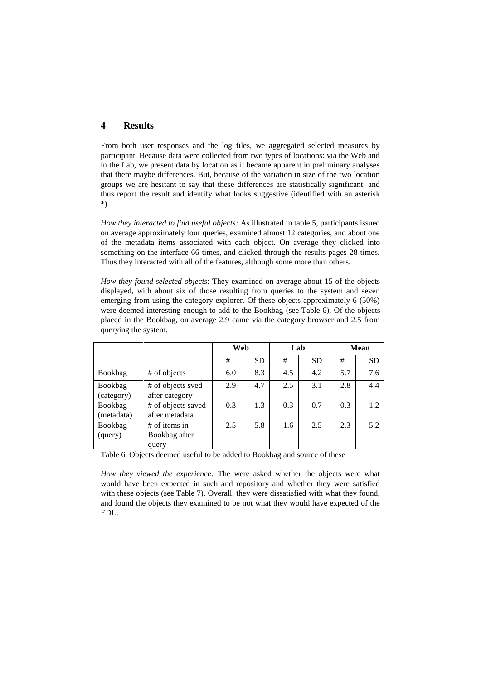# **4 Results**

From both user responses and the log files, we aggregated selected measures by participant. Because data were collected from two types of locations: via the Web and in the Lab, we present data by location as it became apparent in preliminary analyses that there maybe differences. But, because of the variation in size of the two location groups we are hesitant to say that these differences are statistically significant, and thus report the result and identify what looks suggestive (identified with an asterisk \*).

*How they interacted to find useful objects:* As illustrated in table 5, participants issued on average approximately four queries, examined almost 12 categories, and about one of the metadata items associated with each object. On average they clicked into something on the interface 66 times, and clicked through the results pages 28 times. Thus they interacted with all of the features, although some more than others.

*How they found selected objects*: They examined on average about 15 of the objects displayed, with about six of those resulting from queries to the system and seven emerging from using the category explorer. Of these objects approximately 6 (50%) were deemed interesting enough to add to the Bookbag (see Table 6). Of the objects placed in the Bookbag, on average 2.9 came via the category browser and 2.5 from querying the system.

|                       |                                           | Web |           | Lab |           | <b>Mean</b> |           |
|-----------------------|-------------------------------------------|-----|-----------|-----|-----------|-------------|-----------|
|                       |                                           | #   | <b>SD</b> | #   | <b>SD</b> | #           | <b>SD</b> |
| Bookbag               | # of objects                              | 6.0 | 8.3       | 4.5 | 4.2       | 5.7         | 7.6       |
| Bookbag<br>(category) | # of objects sved<br>after category       | 2.9 | 4.7       | 2.5 | 3.1       | 2.8         | 4.4       |
| Bookbag<br>(metadata) | # of objects saved<br>after metadata      | 0.3 | 1.3       | 0.3 | 0.7       | 0.3         | 1.2       |
| Bookbag<br>(query)    | $#$ of items in<br>Bookbag after<br>query | 2.5 | 5.8       | 1.6 | 2.5       | 2.3         | 5.2       |

Table 6. Objects deemed useful to be added to Bookbag and source of these

*How they viewed the experience:* The were asked whether the objects were what would have been expected in such and repository and whether they were satisfied with these objects (see Table 7). Overall, they were dissatisfied with what they found. and found the objects they examined to be not what they would have expected of the EDL.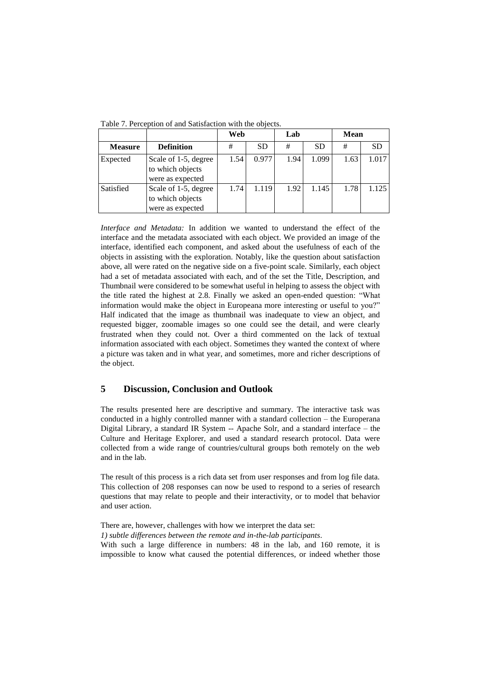|                |                                                              | Web  |           | Lab  |           | <b>Mean</b> |           |
|----------------|--------------------------------------------------------------|------|-----------|------|-----------|-------------|-----------|
| <b>Measure</b> | <b>Definition</b>                                            | #    | <b>SD</b> | #    | <b>SD</b> | #           | <b>SD</b> |
| Expected       | Scale of 1-5, degree<br>to which objects<br>were as expected | 1.54 | 0.977     | 1.94 | 1.099     | 1.63        | 1.017     |
| Satisfied      | Scale of 1-5, degree<br>to which objects<br>were as expected | 1.74 | 1.119     | 1.92 | 1.145     | 1.78        | 1.125     |

Table 7. Perception of and Satisfaction with the objects.

*Interface and Metadata:* In addition we wanted to understand the effect of the interface and the metadata associated with each object. We provided an image of the interface, identified each component, and asked about the usefulness of each of the objects in assisting with the exploration. Notably, like the question about satisfaction above, all were rated on the negative side on a five-point scale. Similarly, each object had a set of metadata associated with each, and of the set the Title, Description, and Thumbnail were considered to be somewhat useful in helping to assess the object with the title rated the highest at 2.8. Finally we asked an open-ended question: "What information would make the object in Europeana more interesting or useful to you?" Half indicated that the image as thumbnail was inadequate to view an object, and requested bigger, zoomable images so one could see the detail, and were clearly frustrated when they could not. Over a third commented on the lack of textual information associated with each object. Sometimes they wanted the context of where a picture was taken and in what year, and sometimes, more and richer descriptions of the object.

# **5 Discussion, Conclusion and Outlook**

The results presented here are descriptive and summary. The interactive task was conducted in a highly controlled manner with a standard collection – the Europerana Digital Library, a standard IR System -- Apache Solr, and a standard interface – the Culture and Heritage Explorer, and used a standard research protocol. Data were collected from a wide range of countries/cultural groups both remotely on the web and in the lab.

The result of this process is a rich data set from user responses and from log file data. This collection of 208 responses can now be used to respond to a series of research questions that may relate to people and their interactivity, or to model that behavior and user action.

There are, however, challenges with how we interpret the data set:

*1) subtle differences between the remote and in-the-lab participants*.

With such a large difference in numbers: 48 in the lab, and 160 remote, it is impossible to know what caused the potential differences, or indeed whether those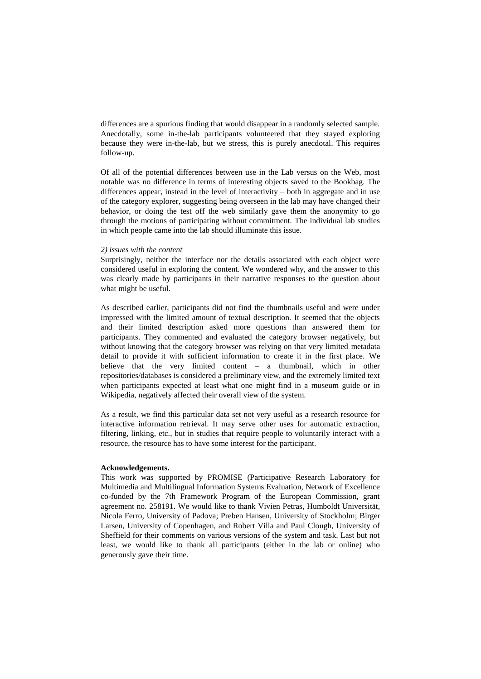differences are a spurious finding that would disappear in a randomly selected sample. Anecdotally, some in-the-lab participants volunteered that they stayed exploring because they were in-the-lab, but we stress, this is purely anecdotal. This requires follow-up.

Of all of the potential differences between use in the Lab versus on the Web, most notable was no difference in terms of interesting objects saved to the Bookbag. The differences appear, instead in the level of interactivity – both in aggregate and in use of the category explorer, suggesting being overseen in the lab may have changed their behavior, or doing the test off the web similarly gave them the anonymity to go through the motions of participating without commitment. The individual lab studies in which people came into the lab should illuminate this issue.

#### *2) issues with the content*

Surprisingly, neither the interface nor the details associated with each object were considered useful in exploring the content. We wondered why, and the answer to this was clearly made by participants in their narrative responses to the question about what might be useful.

As described earlier, participants did not find the thumbnails useful and were under impressed with the limited amount of textual description. It seemed that the objects and their limited description asked more questions than answered them for participants. They commented and evaluated the category browser negatively, but without knowing that the category browser was relying on that very limited metadata detail to provide it with sufficient information to create it in the first place. We believe that the very limited content – a thumbnail, which in other repositories/databases is considered a preliminary view, and the extremely limited text when participants expected at least what one might find in a museum guide or in Wikipedia, negatively affected their overall view of the system.

As a result, we find this particular data set not very useful as a research resource for interactive information retrieval. It may serve other uses for automatic extraction, filtering, linking, etc., but in studies that require people to voluntarily interact with a resource, the resource has to have some interest for the participant.

#### **Acknowledgements.**

This work was supported by PROMISE (Participative Research Laboratory for Multimedia and Multilingual Information Systems Evaluation, Network of Excellence co-funded by the 7th Framework Program of the European Commission, grant agreement no. 258191. We would like to thank Vivien Petras, Humboldt Universität, Nicola Ferro, University of Padova; Preben Hansen, University of Stockholm; Birger Larsen, University of Copenhagen, and Robert Villa and Paul Clough, University of Sheffield for their comments on various versions of the system and task. Last but not least, we would like to thank all participants (either in the lab or online) who generously gave their time.